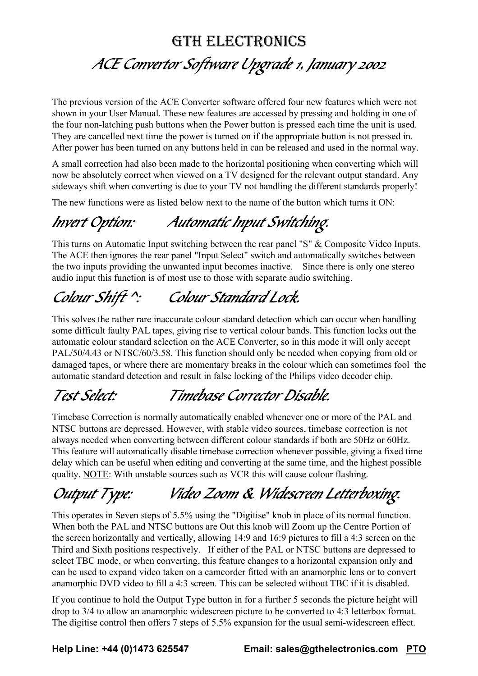## GTH ELECTRONICS ACE Convertor Software Upgrade 1, January 2002

The previous version of the ACE Converter software offered four new features which were not shown in your User Manual. These new features are accessed by pressing and holding in one of the four non-latching push buttons when the Power button is pressed each time the unit is used. They are cancelled next time the power is turned on if the appropriate button is not pressed in. After power has been turned on any buttons held in can be released and used in the normal way.

A small correction had also been made to the horizontal positioning when converting which will now be absolutely correct when viewed on a TV designed for the relevant output standard. Any sideways shift when converting is due to your TV not handling the different standards properly!

The new functions were as listed below next to the name of the button which turns it ON:

# Invert Option: Automatic Input Switching.

This turns on Automatic Input switching between the rear panel "S" & Composite Video Inputs. The ACE then ignores the rear panel "Input Select" switch and automatically switches between the two inputs providing the unwanted input becomes inactive. Since there is only one stereo audio input this function is of most use to those with separate audio switching.

## Colour Shift  $\wedge$ : Colour Standard Lock.

This solves the rather rare inaccurate colour standard detection which can occur when handling some difficult faulty PAL tapes, giving rise to vertical colour bands. This function locks out the automatic colour standard selection on the ACE Converter, so in this mode it will only accept PAL/50/4.43 or NTSC/60/3.58. This function should only be needed when copying from old or damaged tapes, or where there are momentary breaks in the colour which can sometimes fool the automatic standard detection and result in false locking of the Philips video decoder chip.

## Test Select: Timebase Corrector Disable.

Timebase Correction is normally automatically enabled whenever one or more of the PAL and NTSC buttons are depressed. However, with stable video sources, timebase correction is not always needed when converting between different colour standards if both are 50Hz or 60Hz. This feature will automatically disable timebase correction whenever possible, giving a fixed time delay which can be useful when editing and converting at the same time, and the highest possible quality. NOTE: With unstable sources such as VCR this will cause colour flashing.

# Output Type: Video Zoom & Widescreen Letterboxing.

This operates in Seven steps of 5.5% using the "Digitise" knob in place of its normal function. When both the PAL and NTSC buttons are Out this knob will Zoom up the Centre Portion of the screen horizontally and vertically, allowing 14:9 and 16:9 pictures to fill a 4:3 screen on the Third and Sixth positions respectively. If either of the PAL or NTSC buttons are depressed to select TBC mode, or when converting, this feature changes to a horizontal expansion only and can be used to expand video taken on a camcorder fitted with an anamorphic lens or to convert anamorphic DVD video to fill a 4:3 screen. This can be selected without TBC if it is disabled.

If you continue to hold the Output Type button in for a further 5 seconds the picture height will drop to 3/4 to allow an anamorphic widescreen picture to be converted to 4:3 letterbox format. The digitise control then offers 7 steps of 5.5% expansion for the usual semi-widescreen effect.